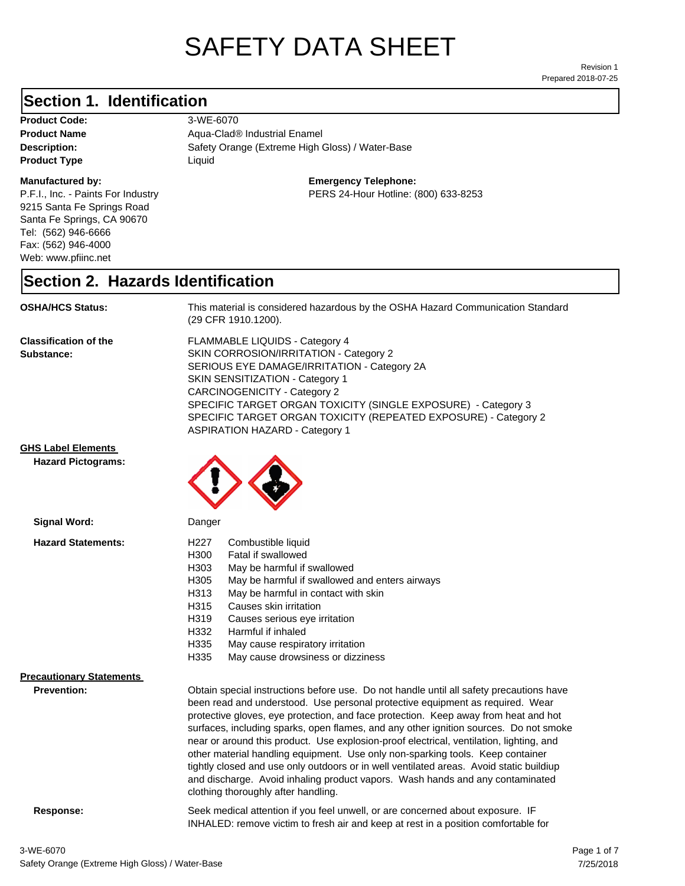# SAFETY DATA SHEET

Prepared 2018-07-25 Revision 1

## **Section 1. Identification**

**Product Code:** 3-WE-6070 **Product Type Liquid Liquid** 

#### **Manufactured by:**

P.F.I., Inc. - Paints For Industry 9215 Santa Fe Springs Road Santa Fe Springs, CA 90670 Tel: (562) 946-6666 Fax: (562) 946-4000 Web: www.pfiinc.net

**Description:** Safety Orange (Extreme High Gloss) / Water-Base **Product Name** Aqua-Clad<sup>®</sup> Industrial Enamel

#### **Emergency Telephone:**

PERS 24-Hour Hotline: (800) 633-8253

#### **Section 2. Hazards Identification**

**OSHA/HCS Status:** This material is considered hazardous by the OSHA Hazard Communication Standard (29 CFR 1910.1200).

**Classification of the Substance:**

FLAMMABLE LIQUIDS - Category 4 SKIN CORROSION/IRRITATION - Category 2 SERIOUS EYE DAMAGE/IRRITATION - Category 2A SKIN SENSITIZATION - Category 1 CARCINOGENICITY - Category 2 SPECIFIC TARGET ORGAN TOXICITY (SINGLE EXPOSURE) - Category 3 SPECIFIC TARGET ORGAN TOXICITY (REPEATED EXPOSURE) - Category 2 ASPIRATION HAZARD - Category 1

INHALED: remove victim to fresh air and keep at rest in a position comfortable for

**GHS Label Elements**

**Hazard Pictograms:**



| Signal Word:                                          | Danger                                                                                                                                                                                                                                                                                                                                                                                                                                                                                                                                                                                                                                                                                                                                                   |
|-------------------------------------------------------|----------------------------------------------------------------------------------------------------------------------------------------------------------------------------------------------------------------------------------------------------------------------------------------------------------------------------------------------------------------------------------------------------------------------------------------------------------------------------------------------------------------------------------------------------------------------------------------------------------------------------------------------------------------------------------------------------------------------------------------------------------|
| <b>Hazard Statements:</b>                             | H227<br>Combustible liquid<br>H300<br>Fatal if swallowed<br>H303<br>May be harmful if swallowed<br>H305<br>May be harmful if swallowed and enters airways<br>May be harmful in contact with skin<br>H313<br>H315<br>Causes skin irritation<br>H319<br>Causes serious eye irritation<br>H332<br>Harmful if inhaled<br>H335<br>May cause respiratory irritation<br>H335<br>May cause drowsiness or dizziness                                                                                                                                                                                                                                                                                                                                               |
| <b>Precautionary Statements</b><br><b>Prevention:</b> | Obtain special instructions before use. Do not handle until all safety precautions have<br>been read and understood. Use personal protective equipment as required. Wear<br>protective gloves, eye protection, and face protection. Keep away from heat and hot<br>surfaces, including sparks, open flames, and any other ignition sources. Do not smoke<br>near or around this product. Use explosion-proof electrical, ventilation, lighting, and<br>other material handling equipment. Use only non-sparking tools. Keep container<br>tightly closed and use only outdoors or in well ventilated areas. Avoid static buildiup<br>and discharge. Avoid inhaling product vapors. Wash hands and any contaminated<br>clothing thoroughly after handling. |
| Response:                                             | Seek medical attention if you feel unwell, or are concerned about exposure. IF                                                                                                                                                                                                                                                                                                                                                                                                                                                                                                                                                                                                                                                                           |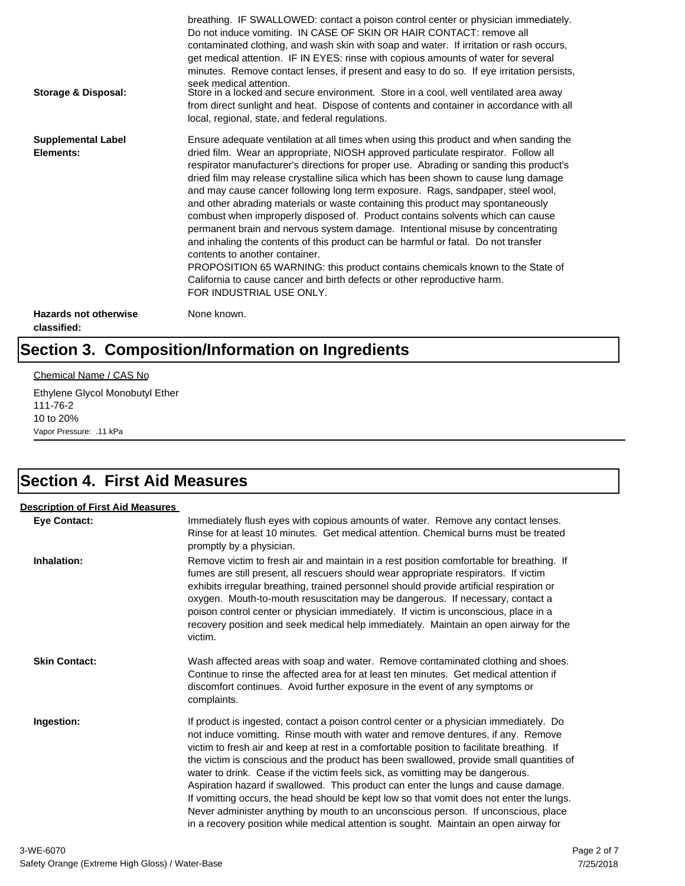| <b>Storage &amp; Disposal:</b>              | breathing. IF SWALLOWED: contact a poison control center or physician immediately.<br>Do not induce vomiting. IN CASE OF SKIN OR HAIR CONTACT: remove all<br>contaminated clothing, and wash skin with soap and water. If irritation or rash occurs,<br>get medical attention. IF IN EYES: rinse with copious amounts of water for several<br>minutes. Remove contact lenses, if present and easy to do so. If eye irritation persists,<br>seek medical attention.<br>Store in a locked and secure environment. Store in a cool, well ventilated area away<br>from direct sunlight and heat. Dispose of contents and container in accordance with all<br>local, regional, state, and federal regulations.                                                                                                                                                                                                                                                                                                                |
|---------------------------------------------|--------------------------------------------------------------------------------------------------------------------------------------------------------------------------------------------------------------------------------------------------------------------------------------------------------------------------------------------------------------------------------------------------------------------------------------------------------------------------------------------------------------------------------------------------------------------------------------------------------------------------------------------------------------------------------------------------------------------------------------------------------------------------------------------------------------------------------------------------------------------------------------------------------------------------------------------------------------------------------------------------------------------------|
| <b>Supplemental Label</b><br>Elements:      | Ensure adequate ventilation at all times when using this product and when sanding the<br>dried film. Wear an appropriate, NIOSH approved particulate respirator. Follow all<br>respirator manufacturer's directions for proper use. Abrading or sanding this product's<br>dried film may release crystalline silica which has been shown to cause lung damage<br>and may cause cancer following long term exposure. Rags, sandpaper, steel wool,<br>and other abrading materials or waste containing this product may spontaneously<br>combust when improperly disposed of. Product contains solvents which can cause<br>permanent brain and nervous system damage. Intentional misuse by concentrating<br>and inhaling the contents of this product can be harmful or fatal. Do not transfer<br>contents to another container.<br>PROPOSITION 65 WARNING: this product contains chemicals known to the State of<br>California to cause cancer and birth defects or other reproductive harm.<br>FOR INDUSTRIAL USE ONLY. |
| <b>Hazards not otherwise</b><br>classified: | None known.                                                                                                                                                                                                                                                                                                                                                                                                                                                                                                                                                                                                                                                                                                                                                                                                                                                                                                                                                                                                              |

# **Section 3. Composition/Information on Ingredients**

#### Chemical Name / CAS No

Ethylene Glycol Monobutyl Ether 111-76-2 10 to 20% Vapor Pressure: .11 kPa

## **Section 4. First Aid Measures**

| <b>Description of First Aid Measures</b> |                                                                                                                                                                                                                                                                                                                                                                                                                                                                                                                                                                                                                                                                                                                                                                                                                        |
|------------------------------------------|------------------------------------------------------------------------------------------------------------------------------------------------------------------------------------------------------------------------------------------------------------------------------------------------------------------------------------------------------------------------------------------------------------------------------------------------------------------------------------------------------------------------------------------------------------------------------------------------------------------------------------------------------------------------------------------------------------------------------------------------------------------------------------------------------------------------|
| <b>Eye Contact:</b>                      | Immediately flush eyes with copious amounts of water. Remove any contact lenses.<br>Rinse for at least 10 minutes. Get medical attention. Chemical burns must be treated<br>promptly by a physician.                                                                                                                                                                                                                                                                                                                                                                                                                                                                                                                                                                                                                   |
| Inhalation:                              | Remove victim to fresh air and maintain in a rest position comfortable for breathing. If<br>fumes are still present, all rescuers should wear appropriate respirators. If victim<br>exhibits irregular breathing, trained personnel should provide artificial respiration or<br>oxygen. Mouth-to-mouth resuscitation may be dangerous. If necessary, contact a<br>poison control center or physician immediately. If victim is unconscious, place in a<br>recovery position and seek medical help immediately. Maintain an open airway for the<br>victim.                                                                                                                                                                                                                                                              |
| <b>Skin Contact:</b>                     | Wash affected areas with soap and water. Remove contaminated clothing and shoes.<br>Continue to rinse the affected area for at least ten minutes. Get medical attention if<br>discomfort continues. Avoid further exposure in the event of any symptoms or<br>complaints.                                                                                                                                                                                                                                                                                                                                                                                                                                                                                                                                              |
| Ingestion:                               | If product is ingested, contact a poison control center or a physician immediately. Do<br>not induce vomitting. Rinse mouth with water and remove dentures, if any. Remove<br>victim to fresh air and keep at rest in a comfortable position to facilitate breathing. If<br>the victim is conscious and the product has been swallowed, provide small quantities of<br>water to drink. Cease if the victim feels sick, as vomitting may be dangerous.<br>Aspiration hazard if swallowed. This product can enter the lungs and cause damage.<br>If vomitting occurs, the head should be kept low so that vomit does not enter the lungs.<br>Never administer anything by mouth to an unconscious person. If unconscious, place<br>in a recovery position while medical attention is sought. Maintain an open airway for |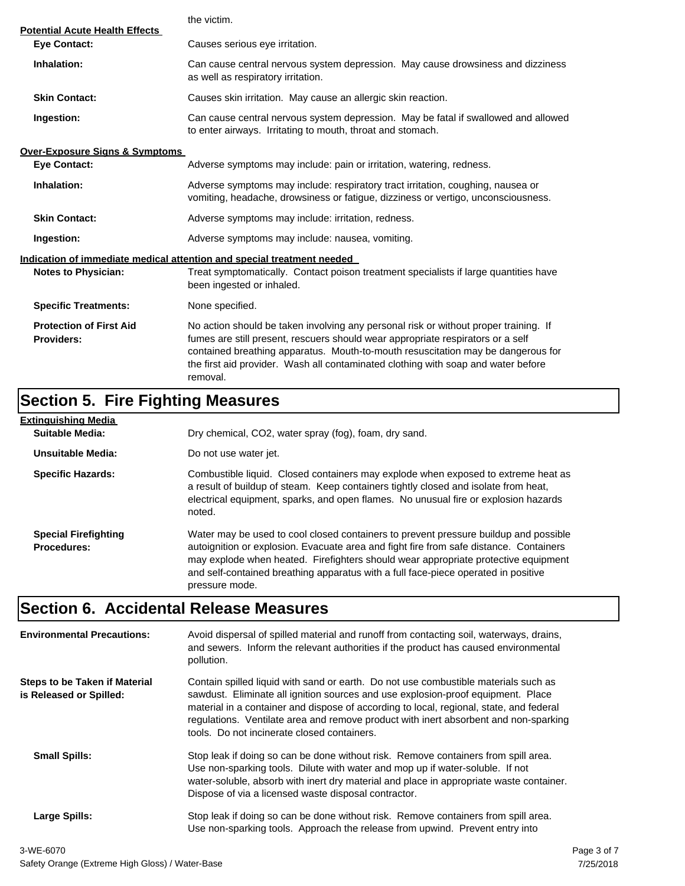|                                                              | the victim.                                                                                                                                                                                                                                                                                                                                                  |
|--------------------------------------------------------------|--------------------------------------------------------------------------------------------------------------------------------------------------------------------------------------------------------------------------------------------------------------------------------------------------------------------------------------------------------------|
| <b>Potential Acute Health Effects</b><br><b>Eye Contact:</b> | Causes serious eye irritation.                                                                                                                                                                                                                                                                                                                               |
| Inhalation:                                                  | Can cause central nervous system depression. May cause drowsiness and dizziness<br>as well as respiratory irritation.                                                                                                                                                                                                                                        |
| <b>Skin Contact:</b>                                         | Causes skin irritation. May cause an allergic skin reaction.                                                                                                                                                                                                                                                                                                 |
| Ingestion:                                                   | Can cause central nervous system depression. May be fatal if swallowed and allowed<br>to enter airways. Irritating to mouth, throat and stomach.                                                                                                                                                                                                             |
| <b>Over-Exposure Signs &amp; Symptoms</b>                    |                                                                                                                                                                                                                                                                                                                                                              |
| <b>Eye Contact:</b>                                          | Adverse symptoms may include: pain or irritation, watering, redness.                                                                                                                                                                                                                                                                                         |
| Inhalation:                                                  | Adverse symptoms may include: respiratory tract irritation, coughing, nausea or<br>vomiting, headache, drowsiness or fatigue, dizziness or vertigo, unconsciousness.                                                                                                                                                                                         |
| <b>Skin Contact:</b>                                         | Adverse symptoms may include: irritation, redness.                                                                                                                                                                                                                                                                                                           |
| Ingestion:                                                   | Adverse symptoms may include: nausea, vomiting.                                                                                                                                                                                                                                                                                                              |
|                                                              | Indication of immediate medical attention and special treatment needed                                                                                                                                                                                                                                                                                       |
| <b>Notes to Physician:</b>                                   | Treat symptomatically. Contact poison treatment specialists if large quantities have<br>been ingested or inhaled.                                                                                                                                                                                                                                            |
| <b>Specific Treatments:</b>                                  | None specified.                                                                                                                                                                                                                                                                                                                                              |
| <b>Protection of First Aid</b><br><b>Providers:</b>          | No action should be taken involving any personal risk or without proper training. If<br>fumes are still present, rescuers should wear appropriate respirators or a self<br>contained breathing apparatus. Mouth-to-mouth resuscitation may be dangerous for<br>the first aid provider. Wash all contaminated clothing with soap and water before<br>removal. |

# **Section 5. Fire Fighting Measures**

| Extinguishing Media                               |                                                                                                                                                                                                                                                                                                                                                                              |
|---------------------------------------------------|------------------------------------------------------------------------------------------------------------------------------------------------------------------------------------------------------------------------------------------------------------------------------------------------------------------------------------------------------------------------------|
| Suitable Media:                                   | Dry chemical, CO2, water spray (fog), foam, dry sand.                                                                                                                                                                                                                                                                                                                        |
| Unsuitable Media:                                 | Do not use water jet.                                                                                                                                                                                                                                                                                                                                                        |
| <b>Specific Hazards:</b>                          | Combustible liquid. Closed containers may explode when exposed to extreme heat as<br>a result of buildup of steam. Keep containers tightly closed and isolate from heat,<br>electrical equipment, sparks, and open flames. No unusual fire or explosion hazards<br>noted.                                                                                                    |
| <b>Special Firefighting</b><br><b>Procedures:</b> | Water may be used to cool closed containers to prevent pressure buildup and possible<br>autoignition or explosion. Evacuate area and fight fire from safe distance. Containers<br>may explode when heated. Firefighters should wear appropriate protective equipment<br>and self-contained breathing apparatus with a full face-piece operated in positive<br>pressure mode. |

# **Section 6. Accidental Release Measures**

| <b>Environmental Precautions:</b>                               | Avoid dispersal of spilled material and runoff from contacting soil, waterways, drains,<br>and sewers. Inform the relevant authorities if the product has caused environmental<br>pollution.                                                                                                                                                                                                              |             |
|-----------------------------------------------------------------|-----------------------------------------------------------------------------------------------------------------------------------------------------------------------------------------------------------------------------------------------------------------------------------------------------------------------------------------------------------------------------------------------------------|-------------|
| <b>Steps to be Taken if Material</b><br>is Released or Spilled: | Contain spilled liquid with sand or earth. Do not use combustible materials such as<br>sawdust. Eliminate all ignition sources and use explosion-proof equipment. Place<br>material in a container and dispose of according to local, regional, state, and federal<br>regulations. Ventilate area and remove product with inert absorbent and non-sparking<br>tools. Do not incinerate closed containers. |             |
| <b>Small Spills:</b>                                            | Stop leak if doing so can be done without risk. Remove containers from spill area.<br>Use non-sparking tools. Dilute with water and mop up if water-soluble. If not<br>water-soluble, absorb with inert dry material and place in appropriate waste container.<br>Dispose of via a licensed waste disposal contractor.                                                                                    |             |
| Large Spills:                                                   | Stop leak if doing so can be done without risk. Remove containers from spill area.<br>Use non-sparking tools. Approach the release from upwind. Prevent entry into                                                                                                                                                                                                                                        |             |
| 3-WE-6070                                                       |                                                                                                                                                                                                                                                                                                                                                                                                           | Page 3 of 7 |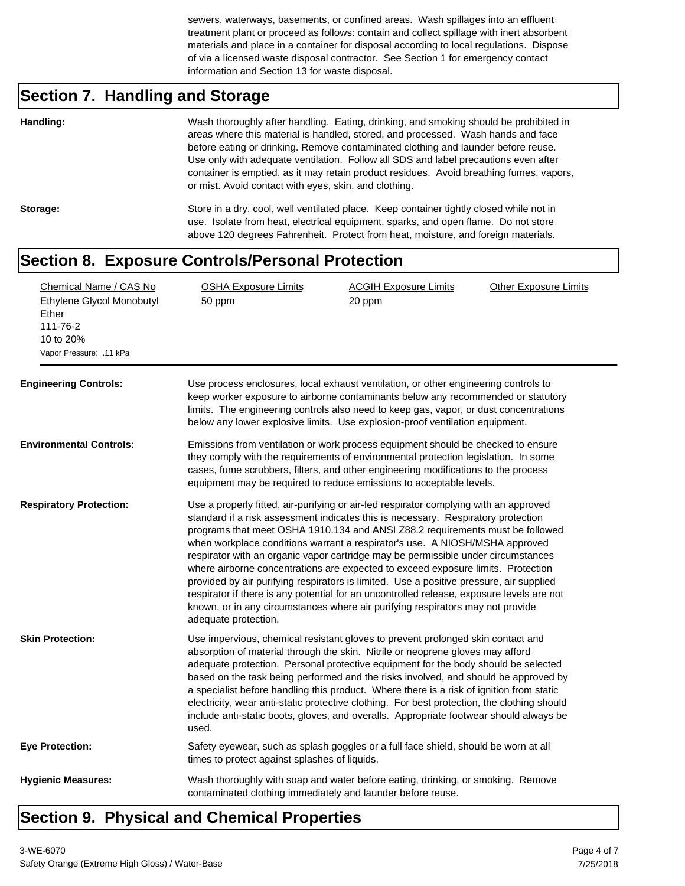sewers, waterways, basements, or confined areas. Wash spillages into an effluent treatment plant or proceed as follows: contain and collect spillage with inert absorbent materials and place in a container for disposal according to local regulations. Dispose of via a licensed waste disposal contractor. See Section 1 for emergency contact information and Section 13 for waste disposal.

# **Section 7. Handling and Storage**

| Handling: | Wash thoroughly after handling. Eating, drinking, and smoking should be prohibited in<br>areas where this material is handled, stored, and processed. Wash hands and face<br>before eating or drinking. Remove contaminated clothing and launder before reuse.<br>Use only with adequate ventilation. Follow all SDS and label precautions even after<br>container is emptied, as it may retain product residues. Avoid breathing fumes, vapors,<br>or mist. Avoid contact with eyes, skin, and clothing. |
|-----------|-----------------------------------------------------------------------------------------------------------------------------------------------------------------------------------------------------------------------------------------------------------------------------------------------------------------------------------------------------------------------------------------------------------------------------------------------------------------------------------------------------------|
| Storage:  | Store in a dry, cool, well ventilated place. Keep container tightly closed while not in<br>use. Isolate from heat, electrical equipment, sparks, and open flame. Do not store<br>above 120 degrees Fahrenheit. Protect from heat, moisture, and foreign materials.                                                                                                                                                                                                                                        |

#### **Section 8. Exposure Controls/Personal Protection**

| Chemical Name / CAS No<br>Ethylene Glycol Monobutyl<br>Ether<br>111-76-2<br>10 to 20%<br>Vapor Pressure: .11 kPa<br><b>Engineering Controls:</b> | <b>OSHA Exposure Limits</b><br>50 ppm<br>Use process enclosures, local exhaust ventilation, or other engineering controls to<br>keep worker exposure to airborne contaminants below any recommended or statutory<br>limits. The engineering controls also need to keep gas, vapor, or dust concentrations<br>below any lower explosive limits. Use explosion-proof ventilation equipment.                                                                                                                                                                                                                                                                                                                                                                                                                             | <b>ACGIH Exposure Limits</b><br>20 ppm | <b>Other Exposure Limits</b> |
|--------------------------------------------------------------------------------------------------------------------------------------------------|-----------------------------------------------------------------------------------------------------------------------------------------------------------------------------------------------------------------------------------------------------------------------------------------------------------------------------------------------------------------------------------------------------------------------------------------------------------------------------------------------------------------------------------------------------------------------------------------------------------------------------------------------------------------------------------------------------------------------------------------------------------------------------------------------------------------------|----------------------------------------|------------------------------|
| <b>Environmental Controls:</b>                                                                                                                   | Emissions from ventilation or work process equipment should be checked to ensure<br>they comply with the requirements of environmental protection legislation. In some<br>cases, fume scrubbers, filters, and other engineering modifications to the process<br>equipment may be required to reduce emissions to acceptable levels.                                                                                                                                                                                                                                                                                                                                                                                                                                                                                   |                                        |                              |
| <b>Respiratory Protection:</b>                                                                                                                   | Use a properly fitted, air-purifying or air-fed respirator complying with an approved<br>standard if a risk assessment indicates this is necessary. Respiratory protection<br>programs that meet OSHA 1910.134 and ANSI Z88.2 requirements must be followed<br>when workplace conditions warrant a respirator's use. A NIOSH/MSHA approved<br>respirator with an organic vapor cartridge may be permissible under circumstances<br>where airborne concentrations are expected to exceed exposure limits. Protection<br>provided by air purifying respirators is limited. Use a positive pressure, air supplied<br>respirator if there is any potential for an uncontrolled release, exposure levels are not<br>known, or in any circumstances where air purifying respirators may not provide<br>adequate protection. |                                        |                              |
| <b>Skin Protection:</b>                                                                                                                          | Use impervious, chemical resistant gloves to prevent prolonged skin contact and<br>absorption of material through the skin. Nitrile or neoprene gloves may afford<br>adequate protection. Personal protective equipment for the body should be selected<br>based on the task being performed and the risks involved, and should be approved by<br>a specialist before handling this product. Where there is a risk of ignition from static<br>electricity, wear anti-static protective clothing. For best protection, the clothing should<br>include anti-static boots, gloves, and overalls. Appropriate footwear should always be<br>used.                                                                                                                                                                          |                                        |                              |
| <b>Eye Protection:</b>                                                                                                                           | Safety eyewear, such as splash goggles or a full face shield, should be worn at all<br>times to protect against splashes of liquids.                                                                                                                                                                                                                                                                                                                                                                                                                                                                                                                                                                                                                                                                                  |                                        |                              |
| <b>Hygienic Measures:</b>                                                                                                                        | Wash thoroughly with soap and water before eating, drinking, or smoking. Remove<br>contaminated clothing immediately and launder before reuse.                                                                                                                                                                                                                                                                                                                                                                                                                                                                                                                                                                                                                                                                        |                                        |                              |

## **Section 9. Physical and Chemical Properties**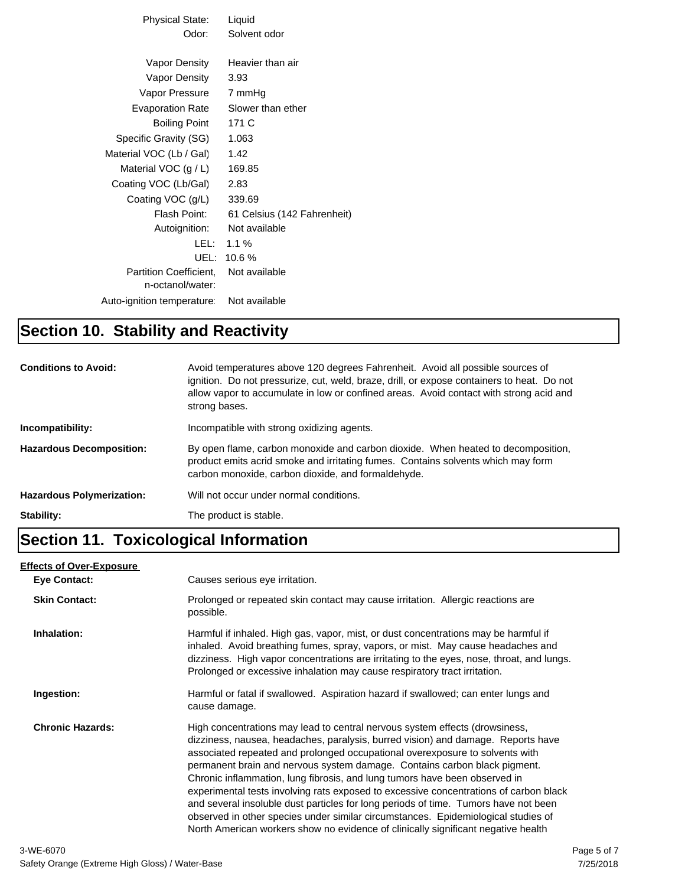| Physical State:               | Liquid                      |
|-------------------------------|-----------------------------|
| Odor:                         | Solvent odor                |
|                               |                             |
| Vapor Density                 | Heavier than air            |
| Vapor Density                 | 3.93                        |
| Vapor Pressure                | 7 mmHq                      |
| <b>Evaporation Rate</b>       | Slower than ether           |
| <b>Boiling Point</b>          | 171 C                       |
| Specific Gravity (SG)         | 1.063                       |
| Material VOC (Lb / Gal)       | 1.42                        |
| Material VOC $(g/L)$          | 169.85                      |
| Coating VOC (Lb/Gal)          | 2.83                        |
| Coating VOC (g/L)             | 339.69                      |
| Flash Point:                  | 61 Celsius (142 Fahrenheit) |
| Autoignition:                 | Not available               |
| LEL: L                        | 1.1%                        |
| UEL: I                        | 10.6%                       |
| <b>Partition Coefficient.</b> | Not available               |
| n-octanol/water:              |                             |
| Auto-ignition temperature:    | Not available               |
|                               |                             |

## **Section 10. Stability and Reactivity**

| <b>Conditions to Avoid:</b>      | Avoid temperatures above 120 degrees Fahrenheit. Avoid all possible sources of<br>ignition. Do not pressurize, cut, weld, braze, drill, or expose containers to heat. Do not<br>allow vapor to accumulate in low or confined areas. Avoid contact with strong acid and<br>strong bases. |
|----------------------------------|-----------------------------------------------------------------------------------------------------------------------------------------------------------------------------------------------------------------------------------------------------------------------------------------|
| Incompatibility:                 | Incompatible with strong oxidizing agents.                                                                                                                                                                                                                                              |
| <b>Hazardous Decomposition:</b>  | By open flame, carbon monoxide and carbon dioxide. When heated to decomposition,<br>product emits acrid smoke and irritating fumes. Contains solvents which may form<br>carbon monoxide, carbon dioxide, and formaldehyde.                                                              |
| <b>Hazardous Polymerization:</b> | Will not occur under normal conditions.                                                                                                                                                                                                                                                 |
| Stability:                       | The product is stable.                                                                                                                                                                                                                                                                  |

# **Section 11. Toxicological Information**

#### **Effects of Over-Exposure**

| Eye Contact:            | Causes serious eye irritation.                                                                                                                                                                                                                                                                                                                                                                                                                                                                                                                                                                                                                                                                                                                                       |
|-------------------------|----------------------------------------------------------------------------------------------------------------------------------------------------------------------------------------------------------------------------------------------------------------------------------------------------------------------------------------------------------------------------------------------------------------------------------------------------------------------------------------------------------------------------------------------------------------------------------------------------------------------------------------------------------------------------------------------------------------------------------------------------------------------|
| <b>Skin Contact:</b>    | Prolonged or repeated skin contact may cause irritation. Allergic reactions are<br>possible.                                                                                                                                                                                                                                                                                                                                                                                                                                                                                                                                                                                                                                                                         |
| Inhalation:             | Harmful if inhaled. High gas, vapor, mist, or dust concentrations may be harmful if<br>inhaled. Avoid breathing fumes, spray, vapors, or mist. May cause headaches and<br>dizziness. High vapor concentrations are irritating to the eyes, nose, throat, and lungs.<br>Prolonged or excessive inhalation may cause respiratory tract irritation.                                                                                                                                                                                                                                                                                                                                                                                                                     |
| Ingestion:              | Harmful or fatal if swallowed. Aspiration hazard if swallowed; can enter lungs and<br>cause damage.                                                                                                                                                                                                                                                                                                                                                                                                                                                                                                                                                                                                                                                                  |
| <b>Chronic Hazards:</b> | High concentrations may lead to central nervous system effects (drowsiness,<br>dizziness, nausea, headaches, paralysis, burred vision) and damage. Reports have<br>associated repeated and prolonged occupational overexposure to solvents with<br>permanent brain and nervous system damage. Contains carbon black pigment.<br>Chronic inflammation, lung fibrosis, and lung tumors have been observed in<br>experimental tests involving rats exposed to excessive concentrations of carbon black<br>and several insoluble dust particles for long periods of time. Tumors have not been<br>observed in other species under similar circumstances. Epidemiological studies of<br>North American workers show no evidence of clinically significant negative health |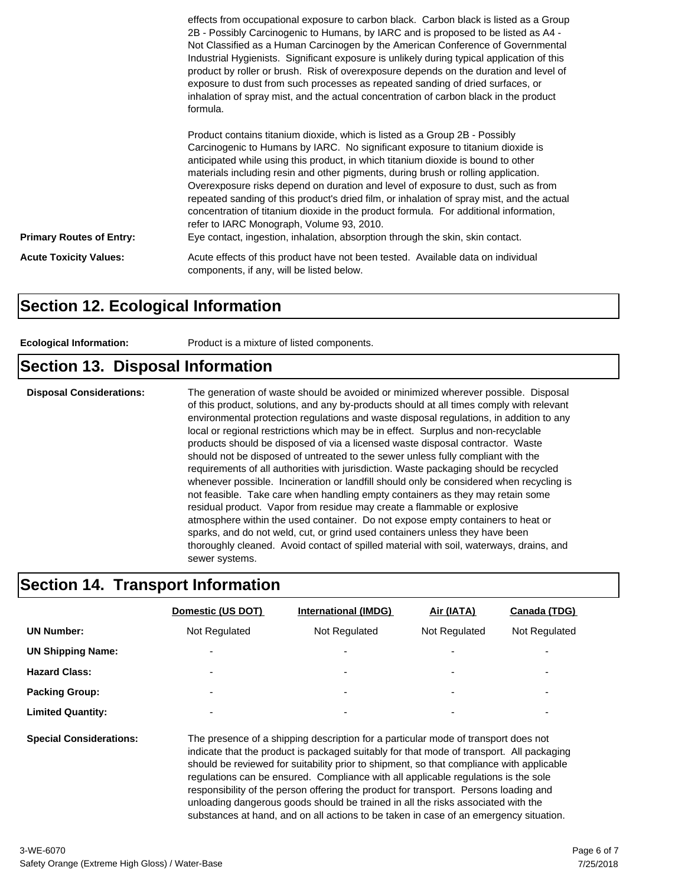|                                 | effects from occupational exposure to carbon black. Carbon black is listed as a Group<br>2B - Possibly Carcinogenic to Humans, by IARC and is proposed to be listed as A4 -<br>Not Classified as a Human Carcinogen by the American Conference of Governmental<br>Industrial Hygienists. Significant exposure is unlikely during typical application of this<br>product by roller or brush. Risk of overexposure depends on the duration and level of<br>exposure to dust from such processes as repeated sanding of dried surfaces, or<br>inhalation of spray mist, and the actual concentration of carbon black in the product<br>formula.                                                                                                        |
|---------------------------------|-----------------------------------------------------------------------------------------------------------------------------------------------------------------------------------------------------------------------------------------------------------------------------------------------------------------------------------------------------------------------------------------------------------------------------------------------------------------------------------------------------------------------------------------------------------------------------------------------------------------------------------------------------------------------------------------------------------------------------------------------------|
| <b>Primary Routes of Entry:</b> | Product contains titanium dioxide, which is listed as a Group 2B - Possibly<br>Carcinogenic to Humans by IARC. No significant exposure to titanium dioxide is<br>anticipated while using this product, in which titanium dioxide is bound to other<br>materials including resin and other pigments, during brush or rolling application.<br>Overexposure risks depend on duration and level of exposure to dust, such as from<br>repeated sanding of this product's dried film, or inhalation of spray mist, and the actual<br>concentration of titanium dioxide in the product formula. For additional information,<br>refer to IARC Monograph, Volume 93, 2010.<br>Eye contact, ingestion, inhalation, absorption through the skin, skin contact. |
| <b>Acute Toxicity Values:</b>   | Acute effects of this product have not been tested. Available data on individual<br>components, if any, will be listed below.                                                                                                                                                                                                                                                                                                                                                                                                                                                                                                                                                                                                                       |

#### **Section 12. Ecological Information**

| Product is a mixture of listed components.<br><b>Ecological Information:</b> |  |
|------------------------------------------------------------------------------|--|
|------------------------------------------------------------------------------|--|

## **Section 13. Disposal Information**

**Disposal Considerations:** The generation of waste should be avoided or minimized wherever possible. Disposal of this product, solutions, and any by-products should at all times comply with relevant environmental protection regulations and waste disposal regulations, in addition to any local or regional restrictions which may be in effect. Surplus and non-recyclable products should be disposed of via a licensed waste disposal contractor. Waste should not be disposed of untreated to the sewer unless fully compliant with the requirements of all authorities with jurisdiction. Waste packaging should be recycled whenever possible. Incineration or landfill should only be considered when recycling is not feasible. Take care when handling empty containers as they may retain some residual product. Vapor from residue may create a flammable or explosive atmosphere within the used container. Do not expose empty containers to heat or sparks, and do not weld, cut, or grind used containers unless they have been thoroughly cleaned. Avoid contact of spilled material with soil, waterways, drains, and sewer systems.

#### **Section 14. Transport Information**

|                                | Domestic (US DOT)                                                                                                                                                                                                                                                          | <b>International (IMDG)</b> | Air (IATA)    | Canada (TDG)  |  |
|--------------------------------|----------------------------------------------------------------------------------------------------------------------------------------------------------------------------------------------------------------------------------------------------------------------------|-----------------------------|---------------|---------------|--|
| <b>UN Number:</b>              | Not Regulated                                                                                                                                                                                                                                                              | Not Regulated               | Not Regulated | Not Regulated |  |
| <b>UN Shipping Name:</b>       |                                                                                                                                                                                                                                                                            | $\overline{\phantom{a}}$    |               |               |  |
| <b>Hazard Class:</b>           | $\overline{\phantom{a}}$                                                                                                                                                                                                                                                   |                             |               | -             |  |
| <b>Packing Group:</b>          |                                                                                                                                                                                                                                                                            | $\overline{\phantom{a}}$    |               |               |  |
| <b>Limited Quantity:</b>       |                                                                                                                                                                                                                                                                            |                             |               | ٠             |  |
| <b>Special Considerations:</b> | The presence of a shipping description for a particular mode of transport does not<br>indicate that the product is packaged suitably for that mode of transport. All packaging<br>should be reviewed for suitability prior to shipment, so that compliance with applicable |                             |               |               |  |

should be reviewed for suitability prior to shipment, so that compliance with applicable regulations can be ensured. Compliance with all applicable regulations is the sole responsibility of the person offering the product for transport. Persons loading and unloading dangerous goods should be trained in all the risks associated with the substances at hand, and on all actions to be taken in case of an emergency situation.